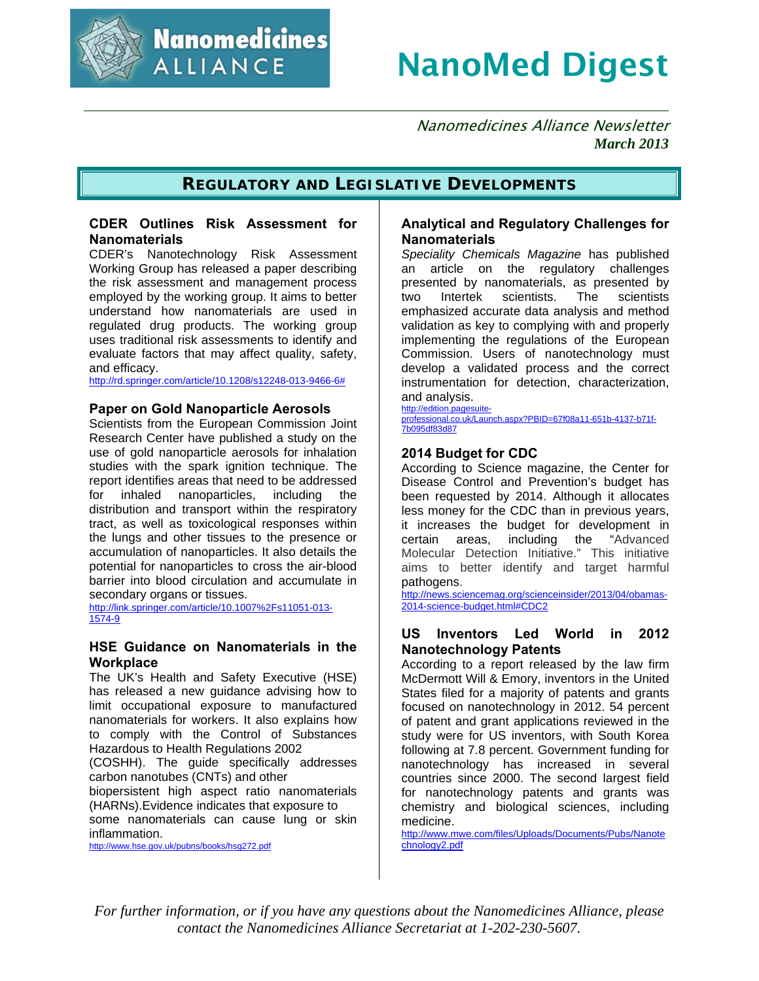

**Nanomedicines ALLIANCE** 

# NanoMed Digest

 Nanomedicines Alliance Newsletter  *March 2013*

#### **REGULATORY AND LEGISLATIVE DEVELOPMENTS**

#### **CDER Outlines Risk Assessment for Nanomaterials**

CDER's Nanotechnology Risk Assessment Working Group has released a paper describing the risk assessment and management process employed by the working group. It aims to better understand how nanomaterials are used in regulated drug products. The working group uses traditional risk assessments to identify and evaluate factors that may affect quality, safety, and efficacy.

http://rd.springer.com/article/10.1208/s12248-013-9466-6#

#### **Paper on Gold Nanoparticle Aerosols**

Scientists from the European Commission Joint Research Center have published a study on the use of gold nanoparticle aerosols for inhalation studies with the spark ignition technique. The report identifies areas that need to be addressed for inhaled nanoparticles, including the distribution and transport within the respiratory tract, as well as toxicological responses within the lungs and other tissues to the presence or accumulation of nanoparticles. It also details the potential for nanoparticles to cross the air-blood barrier into blood circulation and accumulate in secondary organs or tissues.

http://link.springer.com/article/10.1007%2Fs11051-013- 1574-9

#### **HSE Guidance on Nanomaterials in the Workplace**

The UK's Health and Safety Executive (HSE) has released a new guidance advising how to limit occupational exposure to manufactured nanomaterials for workers. It also explains how to comply with the Control of Substances Hazardous to Health Regulations 2002

(COSHH). The guide specifically addresses carbon nanotubes (CNTs) and other

biopersistent high aspect ratio nanomaterials (HARNs).Evidence indicates that exposure to

some nanomaterials can cause lung or skin inflammation.

http://www.hse.gov.uk/pubns/books/hsg272.pdf

#### **Analytical and Regulatory Challenges for Nanomaterials**

*Speciality Chemicals Magazine* has published an article on the regulatory challenges presented by nanomaterials, as presented by two Intertek scientists. The scientists emphasized accurate data analysis and method validation as key to complying with and properly implementing the regulations of the European Commission. Users of nanotechnology must develop a validated process and the correct instrumentation for detection, characterization, and analysis.

http://edition.pagesuiteprofessional.co.uk/Launch.aspx?PBID=67f08a11-651b-4137-b71f-7b095df83d87

#### **2014 Budget for CDC**

According to Science magazine, the Center for Disease Control and Prevention's budget has been requested by 2014. Although it allocates less money for the CDC than in previous years, it increases the budget for development in certain areas, including the "Advanced Molecular Detection Initiative." This initiative aims to better identify and target harmful pathogens.

http://news.sciencemag.org/scienceinsider/2013/04/obamas-2014-science-budget.html#CDC2

#### **US Inventors Led World in 2012 Nanotechnology Patents**

According to a report released by the law firm McDermott Will & Emory, inventors in the United States filed for a majority of patents and grants focused on nanotechnology in 2012. 54 percent of patent and grant applications reviewed in the study were for US inventors, with South Korea following at 7.8 percent. Government funding for nanotechnology has increased in several countries since 2000. The second largest field for nanotechnology patents and grants was chemistry and biological sciences, including medicine.

http://www.mwe.com/files/Uploads/Documents/Pubs/Nanote chnology2.pdf

*For further information, or if you have any questions about the Nanomedicines Alliance, please contact the Nanomedicines Alliance Secretariat at 1-202-230-5607.*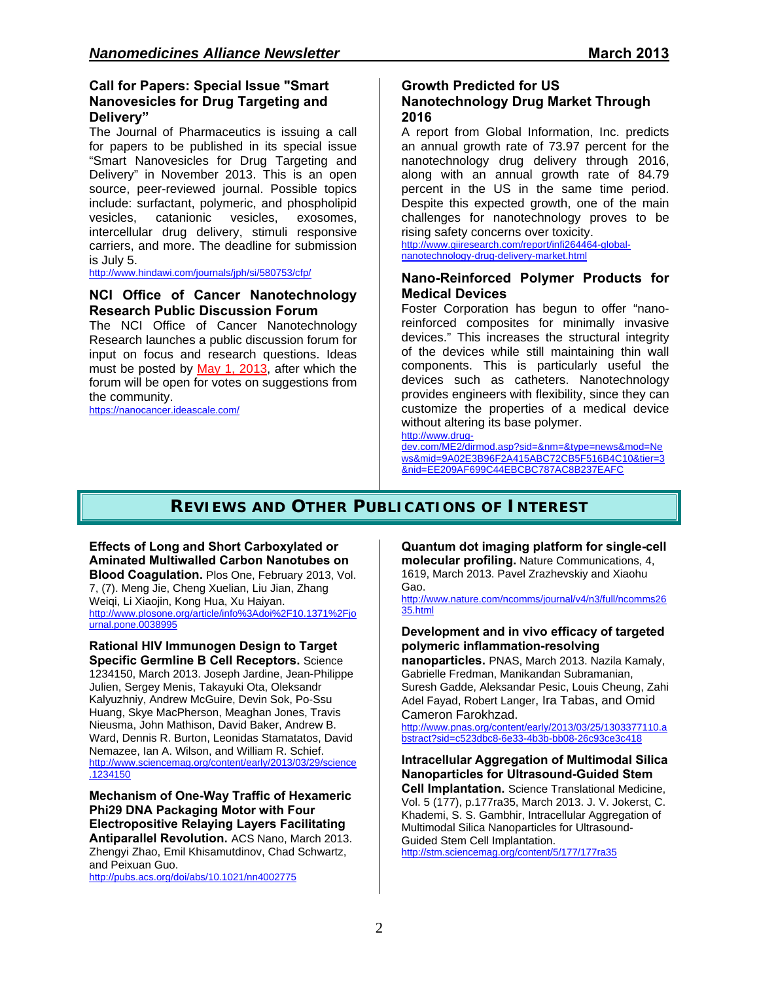#### **Call for Papers: Special Issue "Smart Nanovesicles for Drug Targeting and Delivery"**

The Journal of Pharmaceutics is issuing a call for papers to be published in its special issue "Smart Nanovesicles for Drug Targeting and Delivery" in November 2013. This is an open source, peer-reviewed journal. Possible topics include: surfactant, polymeric, and phospholipid<br>vesicles. catanionic vesicles, exosomes, catanionic vesicles, exosomes, intercellular drug delivery, stimuli responsive carriers, and more. The deadline for submission is July 5.

http://www.hindawi.com/journals/jph/si/580753/cfp/

#### **NCI Office of Cancer Nanotechnology Research Public Discussion Forum**

The NCI Office of Cancer Nanotechnology Research launches a public discussion forum for input on focus and research questions. Ideas must be posted by May 1, 2013, after which the forum will be open for votes on suggestions from the community.

https://nanocancer.ideascale.com/

# **Growth Predicted for US**

#### **Nanotechnology Drug Market Through 2016**

A report from Global Information, Inc. predicts an annual growth rate of 73.97 percent for the nanotechnology drug delivery through 2016, along with an annual growth rate of 84.79 percent in the US in the same time period. Despite this expected growth, one of the main challenges for nanotechnology proves to be rising safety concerns over toxicity.

http://www.giiresearch.com/report/infi264464-globalnanotechnology-drug-delivery-market.html

#### **Nano-Reinforced Polymer Products for Medical Devices**

Foster Corporation has begun to offer "nanoreinforced composites for minimally invasive devices." This increases the structural integrity of the devices while still maintaining thin wall components. This is particularly useful the devices such as catheters. Nanotechnology provides engineers with flexibility, since they can customize the properties of a medical device without altering its base polymer.

http://www.drug-

dev.com/ME2/dirmod.asp?sid=&nm=&type=news&mod=Ne ws&mid=9A02E3B96F2A415ABC72CB5F516B4C10&tier=3 &nid=EE209AF699C44EBCBC787AC8B237EAFC

# **REVIEWS AND OTHER PUBLICATIONS OF INTEREST**

**Effects of Long and Short Carboxylated or Aminated Multiwalled Carbon Nanotubes on Blood Coagulation.** Plos One, February 2013, Vol. 7, (7). Meng Jie, Cheng Xuelian, Liu Jian, Zhang Weiqi, Li Xiaojin, Kong Hua, Xu Haiyan. http://www.plosone.org/article/info%3Adoi%2F10.1371%2Fjo urnal.pone.0038995

**Rational HIV Immunogen Design to Target Specific Germline B Cell Receptors.** Science 1234150, March 2013. Joseph Jardine, Jean-Philippe Julien, Sergey Menis, Takayuki Ota, Oleksandr Kalyuzhniy, Andrew McGuire, Devin Sok, Po-Ssu Huang, Skye MacPherson, Meaghan Jones, Travis Nieusma, John Mathison, David Baker, Andrew B. Ward, Dennis R. Burton, Leonidas Stamatatos, David Nemazee, Ian A. Wilson, and William R. Schief. http://www.sciencemag.org/content/early/2013/03/29/science .1234150

**Mechanism of One-Way Traffic of Hexameric Phi29 DNA Packaging Motor with Four Electropositive Relaying Layers Facilitating Antiparallel Revolution.** ACS Nano, March 2013. Zhengyi Zhao, Emil Khisamutdinov, Chad Schwartz, and Peixuan Guo.

http://pubs.acs.org/doi/abs/10.1021/nn4002775

#### **Quantum dot imaging platform for single-cell molecular profiling.** Nature Communications, 4,

1619, March 2013. Pavel Zrazhevskiy and Xiaohu Gao.

http://www.nature.com/ncomms/journal/v4/n3/full/ncomms26 35.html

#### **Development and in vivo efficacy of targeted polymeric inflammation-resolving**

**nanoparticles.** PNAS, March 2013. Nazila Kamaly, Gabrielle Fredman, Manikandan Subramanian, Suresh Gadde, Aleksandar Pesic, Louis Cheung, Zahi Adel Fayad, Robert Langer, Ira Tabas, and Omid Cameron Farokhzad.

http://www.pnas.org/content/early/2013/03/25/1303377110.a bstract?sid=c523dbc8-6e33-4b3b-bb08-26c93ce3c418

#### **Intracellular Aggregation of Multimodal Silica Nanoparticles for Ultrasound-Guided Stem**

**Cell Implantation.** Science Translational Medicine, Vol. 5 (177), p.177ra35, March 2013. J. V. Jokerst, C. Khademi, S. S. Gambhir, Intracellular Aggregation of Multimodal Silica Nanoparticles for Ultrasound-Guided Stem Cell Implantation.

http://stm.sciencemag.org/content/5/177/177ra35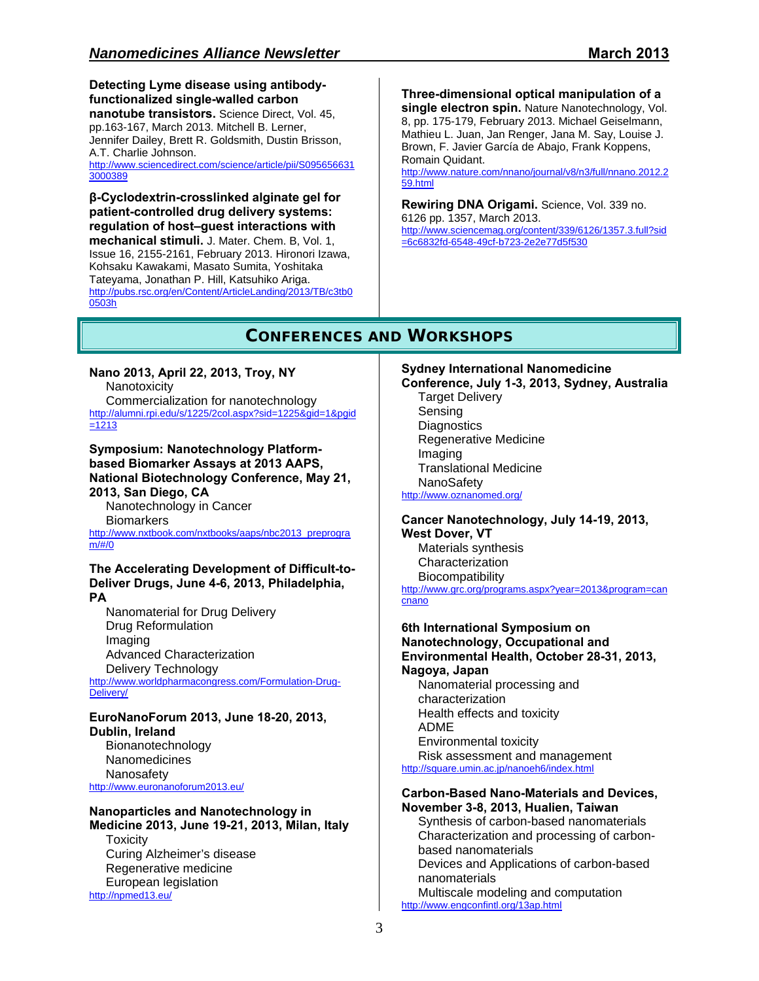**Detecting Lyme disease using antibodyfunctionalized single-walled carbon nanotube transistors.** Science Direct, Vol. 45, pp.163-167, March 2013. Mitchell B. Lerner, Jennifer Dailey, Brett R. Goldsmith, Dustin Brisson, A.T. Charlie Johnson. http://www.sciencedirect.com/science/article/pii/S095656631 3000389

**β-Cyclodextrin-crosslinked alginate gel for patient-controlled drug delivery systems: regulation of host–guest interactions with** 

**mechanical stimuli.** J. Mater. Chem. B, Vol. 1, Issue 16, 2155-2161, February 2013. Hironori Izawa, Kohsaku Kawakami, Masato Sumita, Yoshitaka Tateyama, Jonathan P. Hill, Katsuhiko Ariga. http://pubs.rsc.org/en/Content/ArticleLanding/2013/TB/c3tb0 0503h

**Three-dimensional optical manipulation of a single electron spin.** Nature Nanotechnology, Vol. 8, pp. 175-179, February 2013. Michael Geiselmann, Mathieu L. Juan, Jan Renger, Jana M. Say, Louise J. Brown, F. Javier García de Abajo, Frank Koppens, Romain Quidant.

http://www.nature.com/nnano/journal/v8/n3/full/nnano.2012.2 59.html

**Rewiring DNA Origami.** Science, Vol. 339 no. 6126 pp. 1357, March 2013. http://www.sciencemag.org/content/339/6126/1357.3.full?sid =6c6832fd-6548-49cf-b723-2e2e77d5f530

## **CONFERENCES AND WORKSHOPS**

**Nano 2013, April 22, 2013, Troy, NY Nanotoxicity** Commercialization for nanotechnology http://alumni.rpi.edu/s/1225/2col.aspx?sid=1225&gid=1&pgid  $=1213$ 

**Symposium: Nanotechnology Platformbased Biomarker Assays at 2013 AAPS, National Biotechnology Conference, May 21, 2013, San Diego, CA** 

Nanotechnology in Cancer **Biomarkers** http://www.nxtbook.com/nxtbooks/aaps/nbc2013\_preprogra m/#/0

#### **The Accelerating Development of Difficult-to-Deliver Drugs, June 4-6, 2013, Philadelphia, PA**

Nanomaterial for Drug Delivery Drug Reformulation Imaging Advanced Characterization Delivery Technology

http://www.worldpharmacongress.com/Formulation-Drug-Delivery/

#### **EuroNanoForum 2013, June 18-20, 2013, Dublin, Ireland**

Bionanotechnology Nanomedicines Nanosafety http://www.euronanoforum2013.eu/

**Nanoparticles and Nanotechnology in Medicine 2013, June 19-21, 2013, Milan, Italy Toxicity** Curing Alzheimer's disease Regenerative medicine European legislation http://npmed13.eu/

**Sydney International Nanomedicine** 

**Conference, July 1-3, 2013, Sydney, Australia** Target Delivery Sensing **Diagnostics** Regenerative Medicine Imaging Translational Medicine **NanoSafety** http://www.oznanomed.org/

**Cancer Nanotechnology, July 14-19, 2013, West Dover, VT** Materials synthesis

Characterization **Biocompatibility** http://www.grc.org/programs.aspx?year=2013&program=can

cnano

**6th International Symposium on Nanotechnology, Occupational and Environmental Health, October 28-31, 2013, Nagoya, Japan** Nanomaterial processing and

characterization Health effects and toxicity ADME Environmental toxicity Risk assessment and management http://square.umin.ac.jp/nanoeh6/index.html

# **Carbon-Based Nano-Materials and Devices,**

**November 3-8, 2013, Hualien, Taiwan**  Synthesis of carbon-based nanomaterials Characterization and processing of carbonbased nanomaterials Devices and Applications of carbon-based nanomaterials Multiscale modeling and computation http://www.engconfintl.org/13ap.html